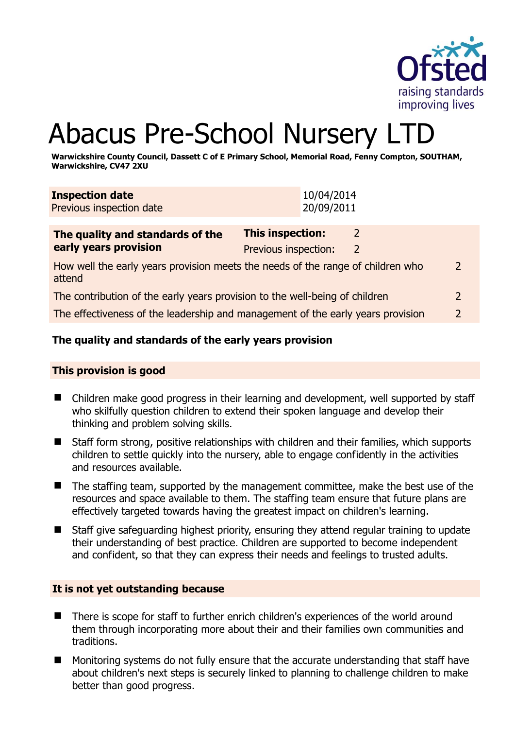

2

# Abacus Pre-School Nursery LTI

**Warwickshire County Council, Dassett C of E Primary School, Memorial Road, Fenny Compton, SOUTHAM, Warwickshire, CV47 2XU** 

| <b>Inspection date</b><br>Previous inspection date                                        | 10/04/2014<br>20/09/2011                                               |                |
|-------------------------------------------------------------------------------------------|------------------------------------------------------------------------|----------------|
| The quality and standards of the<br>early years provision                                 | <b>This inspection:</b><br>2<br>Previous inspection:<br>$\overline{2}$ |                |
| How well the early years provision meets the needs of the range of children who<br>attend |                                                                        |                |
| The contribution of the early years provision to the well-being of children               |                                                                        | $\overline{2}$ |

The effectiveness of the leadership and management of the early years provision 2

# **The quality and standards of the early years provision**

#### **This provision is good**

- Children make good progress in their learning and development, well supported by staff who skilfully question children to extend their spoken language and develop their thinking and problem solving skills.
- Staff form strong, positive relationships with children and their families, which supports children to settle quickly into the nursery, able to engage confidently in the activities and resources available.
- The staffing team, supported by the management committee, make the best use of the resources and space available to them. The staffing team ensure that future plans are effectively targeted towards having the greatest impact on children's learning.
- Staff give safeguarding highest priority, ensuring they attend regular training to update their understanding of best practice. Children are supported to become independent and confident, so that they can express their needs and feelings to trusted adults.

#### **It is not yet outstanding because**

- There is scope for staff to further enrich children's experiences of the world around them through incorporating more about their and their families own communities and traditions.
- Monitoring systems do not fully ensure that the accurate understanding that staff have about children's next steps is securely linked to planning to challenge children to make better than good progress.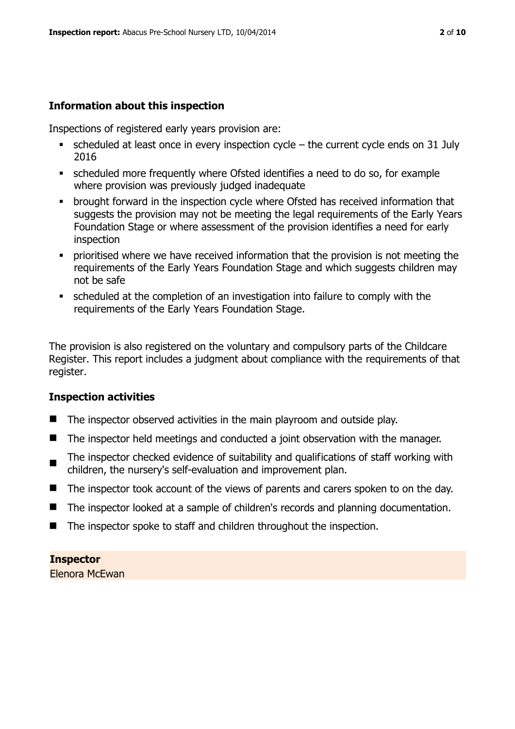# **Information about this inspection**

Inspections of registered early years provision are:

- $\bullet$  scheduled at least once in every inspection cycle the current cycle ends on 31 July 2016
- scheduled more frequently where Ofsted identifies a need to do so, for example where provision was previously judged inadequate
- **•** brought forward in the inspection cycle where Ofsted has received information that suggests the provision may not be meeting the legal requirements of the Early Years Foundation Stage or where assessment of the provision identifies a need for early inspection
- **Prioritised where we have received information that the provision is not meeting the** requirements of the Early Years Foundation Stage and which suggests children may not be safe
- scheduled at the completion of an investigation into failure to comply with the requirements of the Early Years Foundation Stage.

The provision is also registered on the voluntary and compulsory parts of the Childcare Register. This report includes a judgment about compliance with the requirements of that register.

# **Inspection activities**

- The inspector observed activities in the main playroom and outside play.
- The inspector held meetings and conducted a joint observation with the manager.
- $\blacksquare$ The inspector checked evidence of suitability and qualifications of staff working with children, the nursery's self-evaluation and improvement plan.
- The inspector took account of the views of parents and carers spoken to on the day.
- The inspector looked at a sample of children's records and planning documentation.
- The inspector spoke to staff and children throughout the inspection.

**Inspector** 

Elenora McEwan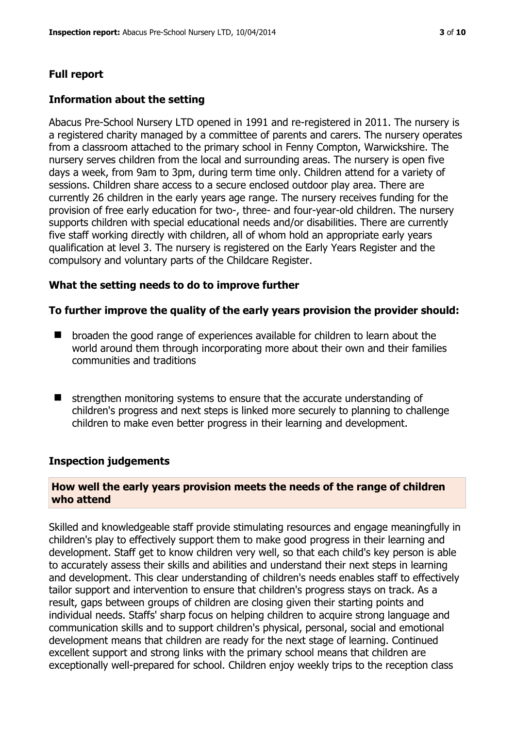# **Full report**

### **Information about the setting**

Abacus Pre-School Nursery LTD opened in 1991 and re-registered in 2011. The nursery is a registered charity managed by a committee of parents and carers. The nursery operates from a classroom attached to the primary school in Fenny Compton, Warwickshire. The nursery serves children from the local and surrounding areas. The nursery is open five days a week, from 9am to 3pm, during term time only. Children attend for a variety of sessions. Children share access to a secure enclosed outdoor play area. There are currently 26 children in the early years age range. The nursery receives funding for the provision of free early education for two-, three- and four-year-old children. The nursery supports children with special educational needs and/or disabilities. There are currently five staff working directly with children, all of whom hold an appropriate early years qualification at level 3. The nursery is registered on the Early Years Register and the compulsory and voluntary parts of the Childcare Register.

#### **What the setting needs to do to improve further**

#### **To further improve the quality of the early years provision the provider should:**

- $\blacksquare$  broaden the good range of experiences available for children to learn about the world around them through incorporating more about their own and their families communities and traditions
- $\blacksquare$  strengthen monitoring systems to ensure that the accurate understanding of children's progress and next steps is linked more securely to planning to challenge children to make even better progress in their learning and development.

#### **Inspection judgements**

#### **How well the early years provision meets the needs of the range of children who attend**

Skilled and knowledgeable staff provide stimulating resources and engage meaningfully in children's play to effectively support them to make good progress in their learning and development. Staff get to know children very well, so that each child's key person is able to accurately assess their skills and abilities and understand their next steps in learning and development. This clear understanding of children's needs enables staff to effectively tailor support and intervention to ensure that children's progress stays on track. As a result, gaps between groups of children are closing given their starting points and individual needs. Staffs' sharp focus on helping children to acquire strong language and communication skills and to support children's physical, personal, social and emotional development means that children are ready for the next stage of learning. Continued excellent support and strong links with the primary school means that children are exceptionally well-prepared for school. Children enjoy weekly trips to the reception class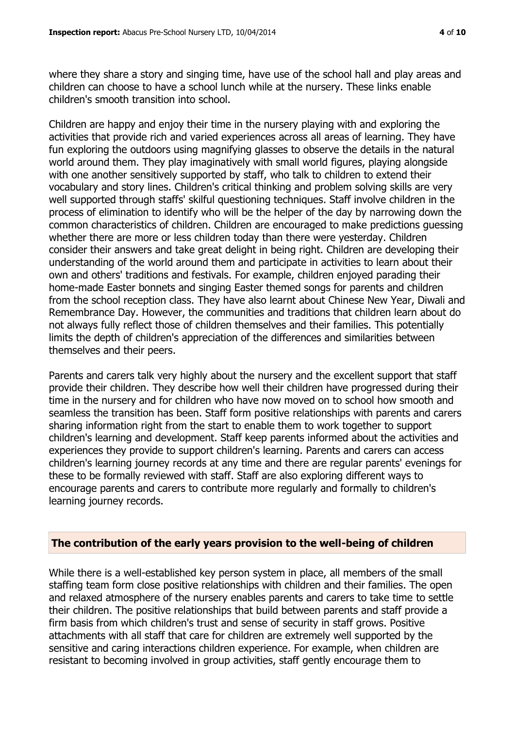where they share a story and singing time, have use of the school hall and play areas and children can choose to have a school lunch while at the nursery. These links enable children's smooth transition into school.

Children are happy and enjoy their time in the nursery playing with and exploring the activities that provide rich and varied experiences across all areas of learning. They have fun exploring the outdoors using magnifying glasses to observe the details in the natural world around them. They play imaginatively with small world figures, playing alongside with one another sensitively supported by staff, who talk to children to extend their vocabulary and story lines. Children's critical thinking and problem solving skills are very well supported through staffs' skilful questioning techniques. Staff involve children in the process of elimination to identify who will be the helper of the day by narrowing down the common characteristics of children. Children are encouraged to make predictions guessing whether there are more or less children today than there were yesterday. Children consider their answers and take great delight in being right. Children are developing their understanding of the world around them and participate in activities to learn about their own and others' traditions and festivals. For example, children enjoyed parading their home-made Easter bonnets and singing Easter themed songs for parents and children from the school reception class. They have also learnt about Chinese New Year, Diwali and Remembrance Day. However, the communities and traditions that children learn about do not always fully reflect those of children themselves and their families. This potentially limits the depth of children's appreciation of the differences and similarities between themselves and their peers.

Parents and carers talk very highly about the nursery and the excellent support that staff provide their children. They describe how well their children have progressed during their time in the nursery and for children who have now moved on to school how smooth and seamless the transition has been. Staff form positive relationships with parents and carers sharing information right from the start to enable them to work together to support children's learning and development. Staff keep parents informed about the activities and experiences they provide to support children's learning. Parents and carers can access children's learning journey records at any time and there are regular parents' evenings for these to be formally reviewed with staff. Staff are also exploring different ways to encourage parents and carers to contribute more regularly and formally to children's learning journey records.

#### **The contribution of the early years provision to the well-being of children**

While there is a well-established key person system in place, all members of the small staffing team form close positive relationships with children and their families. The open and relaxed atmosphere of the nursery enables parents and carers to take time to settle their children. The positive relationships that build between parents and staff provide a firm basis from which children's trust and sense of security in staff grows. Positive attachments with all staff that care for children are extremely well supported by the sensitive and caring interactions children experience. For example, when children are resistant to becoming involved in group activities, staff gently encourage them to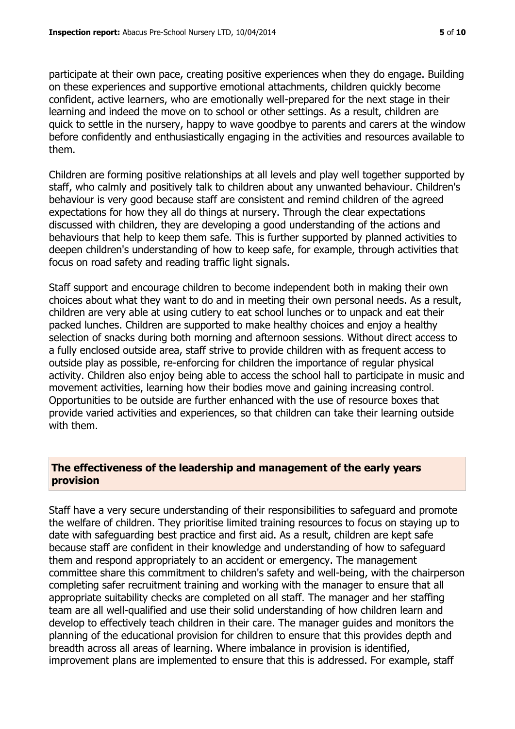participate at their own pace, creating positive experiences when they do engage. Building on these experiences and supportive emotional attachments, children quickly become confident, active learners, who are emotionally well-prepared for the next stage in their learning and indeed the move on to school or other settings. As a result, children are quick to settle in the nursery, happy to wave goodbye to parents and carers at the window before confidently and enthusiastically engaging in the activities and resources available to them.

Children are forming positive relationships at all levels and play well together supported by staff, who calmly and positively talk to children about any unwanted behaviour. Children's behaviour is very good because staff are consistent and remind children of the agreed expectations for how they all do things at nursery. Through the clear expectations discussed with children, they are developing a good understanding of the actions and behaviours that help to keep them safe. This is further supported by planned activities to deepen children's understanding of how to keep safe, for example, through activities that focus on road safety and reading traffic light signals.

Staff support and encourage children to become independent both in making their own choices about what they want to do and in meeting their own personal needs. As a result, children are very able at using cutlery to eat school lunches or to unpack and eat their packed lunches. Children are supported to make healthy choices and enjoy a healthy selection of snacks during both morning and afternoon sessions. Without direct access to a fully enclosed outside area, staff strive to provide children with as frequent access to outside play as possible, re-enforcing for children the importance of regular physical activity. Children also enjoy being able to access the school hall to participate in music and movement activities, learning how their bodies move and gaining increasing control. Opportunities to be outside are further enhanced with the use of resource boxes that provide varied activities and experiences, so that children can take their learning outside with them.

#### **The effectiveness of the leadership and management of the early years provision**

Staff have a very secure understanding of their responsibilities to safeguard and promote the welfare of children. They prioritise limited training resources to focus on staying up to date with safeguarding best practice and first aid. As a result, children are kept safe because staff are confident in their knowledge and understanding of how to safeguard them and respond appropriately to an accident or emergency. The management committee share this commitment to children's safety and well-being, with the chairperson completing safer recruitment training and working with the manager to ensure that all appropriate suitability checks are completed on all staff. The manager and her staffing team are all well-qualified and use their solid understanding of how children learn and develop to effectively teach children in their care. The manager guides and monitors the planning of the educational provision for children to ensure that this provides depth and breadth across all areas of learning. Where imbalance in provision is identified, improvement plans are implemented to ensure that this is addressed. For example, staff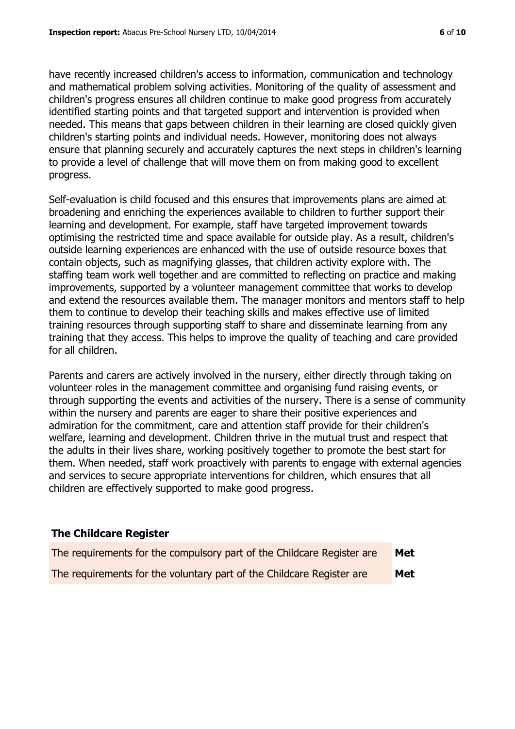have recently increased children's access to information, communication and technology and mathematical problem solving activities. Monitoring of the quality of assessment and children's progress ensures all children continue to make good progress from accurately identified starting points and that targeted support and intervention is provided when needed. This means that gaps between children in their learning are closed quickly given children's starting points and individual needs. However, monitoring does not always ensure that planning securely and accurately captures the next steps in children's learning to provide a level of challenge that will move them on from making good to excellent progress.

Self-evaluation is child focused and this ensures that improvements plans are aimed at broadening and enriching the experiences available to children to further support their learning and development. For example, staff have targeted improvement towards optimising the restricted time and space available for outside play. As a result, children's outside learning experiences are enhanced with the use of outside resource boxes that contain objects, such as magnifying glasses, that children activity explore with. The staffing team work well together and are committed to reflecting on practice and making improvements, supported by a volunteer management committee that works to develop and extend the resources available them. The manager monitors and mentors staff to help them to continue to develop their teaching skills and makes effective use of limited training resources through supporting staff to share and disseminate learning from any training that they access. This helps to improve the quality of teaching and care provided for all children.

Parents and carers are actively involved in the nursery, either directly through taking on volunteer roles in the management committee and organising fund raising events, or through supporting the events and activities of the nursery. There is a sense of community within the nursery and parents are eager to share their positive experiences and admiration for the commitment, care and attention staff provide for their children's welfare, learning and development. Children thrive in the mutual trust and respect that the adults in their lives share, working positively together to promote the best start for them. When needed, staff work proactively with parents to engage with external agencies and services to secure appropriate interventions for children, which ensures that all children are effectively supported to make good progress.

#### **The Childcare Register**

| The requirements for the compulsory part of the Childcare Register are | Met |
|------------------------------------------------------------------------|-----|
| The requirements for the voluntary part of the Childcare Register are  | Met |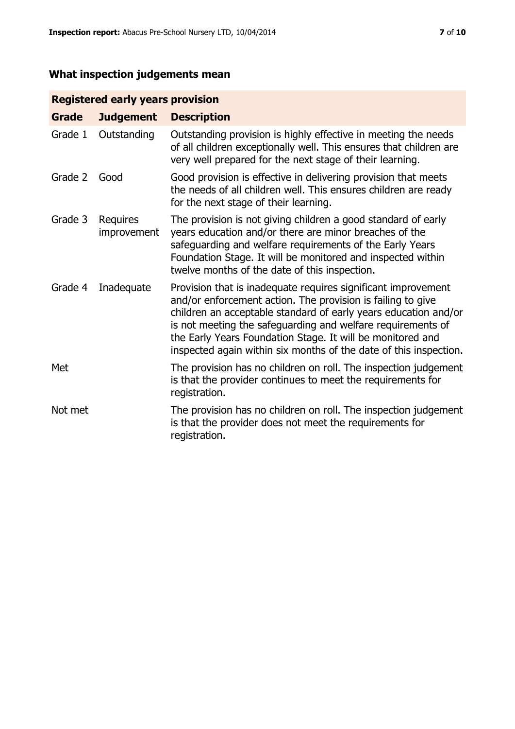# **What inspection judgements mean**

# **Registered early years provision**

| <b>Grade</b> | <b>Judgement</b>        | <b>Description</b>                                                                                                                                                                                                                                                                                                                                                                                |
|--------------|-------------------------|---------------------------------------------------------------------------------------------------------------------------------------------------------------------------------------------------------------------------------------------------------------------------------------------------------------------------------------------------------------------------------------------------|
| Grade 1      | Outstanding             | Outstanding provision is highly effective in meeting the needs<br>of all children exceptionally well. This ensures that children are<br>very well prepared for the next stage of their learning.                                                                                                                                                                                                  |
| Grade 2      | Good                    | Good provision is effective in delivering provision that meets<br>the needs of all children well. This ensures children are ready<br>for the next stage of their learning.                                                                                                                                                                                                                        |
| Grade 3      | Requires<br>improvement | The provision is not giving children a good standard of early<br>years education and/or there are minor breaches of the<br>safeguarding and welfare requirements of the Early Years<br>Foundation Stage. It will be monitored and inspected within<br>twelve months of the date of this inspection.                                                                                               |
| Grade 4      | Inadequate              | Provision that is inadequate requires significant improvement<br>and/or enforcement action. The provision is failing to give<br>children an acceptable standard of early years education and/or<br>is not meeting the safeguarding and welfare requirements of<br>the Early Years Foundation Stage. It will be monitored and<br>inspected again within six months of the date of this inspection. |
| Met          |                         | The provision has no children on roll. The inspection judgement<br>is that the provider continues to meet the requirements for<br>registration.                                                                                                                                                                                                                                                   |
| Not met      |                         | The provision has no children on roll. The inspection judgement<br>is that the provider does not meet the requirements for<br>registration.                                                                                                                                                                                                                                                       |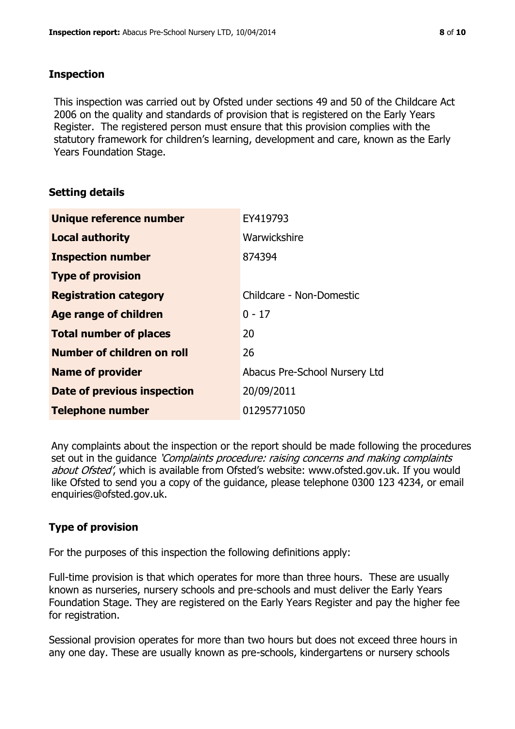#### **Inspection**

This inspection was carried out by Ofsted under sections 49 and 50 of the Childcare Act 2006 on the quality and standards of provision that is registered on the Early Years Register. The registered person must ensure that this provision complies with the statutory framework for children's learning, development and care, known as the Early Years Foundation Stage.

# **Setting details**

| Unique reference number       | EY419793                      |
|-------------------------------|-------------------------------|
| <b>Local authority</b>        | Warwickshire                  |
| <b>Inspection number</b>      | 874394                        |
| <b>Type of provision</b>      |                               |
| <b>Registration category</b>  | Childcare - Non-Domestic      |
| Age range of children         | $0 - 17$                      |
| <b>Total number of places</b> | 20                            |
| Number of children on roll    | 26                            |
| <b>Name of provider</b>       | Abacus Pre-School Nursery Ltd |
| Date of previous inspection   | 20/09/2011                    |
| <b>Telephone number</b>       | 01295771050                   |

Any complaints about the inspection or the report should be made following the procedures set out in the guidance *'Complaints procedure: raising concerns and making complaints* about Ofsted', which is available from Ofsted's website: www.ofsted.gov.uk. If you would like Ofsted to send you a copy of the guidance, please telephone 0300 123 4234, or email enquiries@ofsted.gov.uk.

# **Type of provision**

For the purposes of this inspection the following definitions apply:

Full-time provision is that which operates for more than three hours. These are usually known as nurseries, nursery schools and pre-schools and must deliver the Early Years Foundation Stage. They are registered on the Early Years Register and pay the higher fee for registration.

Sessional provision operates for more than two hours but does not exceed three hours in any one day. These are usually known as pre-schools, kindergartens or nursery schools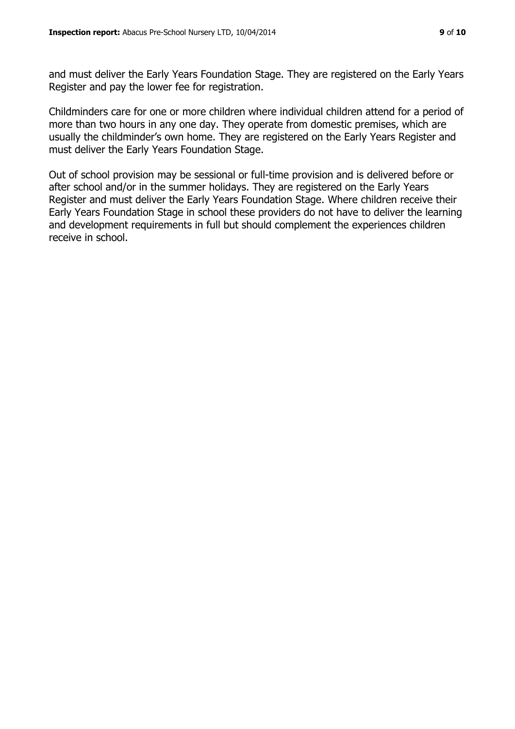and must deliver the Early Years Foundation Stage. They are registered on the Early Years Register and pay the lower fee for registration.

Childminders care for one or more children where individual children attend for a period of more than two hours in any one day. They operate from domestic premises, which are usually the childminder's own home. They are registered on the Early Years Register and must deliver the Early Years Foundation Stage.

Out of school provision may be sessional or full-time provision and is delivered before or after school and/or in the summer holidays. They are registered on the Early Years Register and must deliver the Early Years Foundation Stage. Where children receive their Early Years Foundation Stage in school these providers do not have to deliver the learning and development requirements in full but should complement the experiences children receive in school.